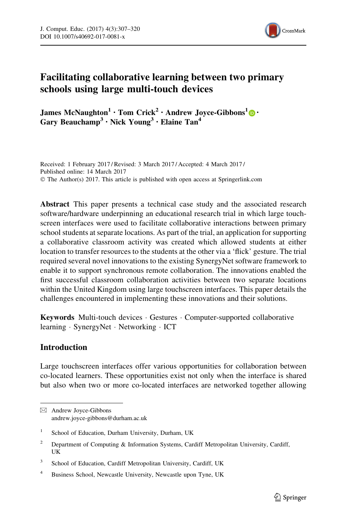

# Facilitating collaborative learning between two primary schools using large multi-touch devices

James McNaughton<sup>1</sup> · Tom Crick<sup>2</sup> · Andrew Joyce-Gibbons<sup>1</sup> $\bigcirc$  · Gary Beauchamp<sup>3</sup> • Nick Young<sup>3</sup> • Elaine Tan<sup>4</sup>

Received: 1 February 2017 / Revised: 3 March 2017 / Accepted: 4 March 2017 / Published online: 14 March 2017 © The Author(s) 2017. This article is published with open access at Springerlink.com

Abstract This paper presents a technical case study and the associated research software/hardware underpinning an educational research trial in which large touchscreen interfaces were used to facilitate collaborative interactions between primary school students at separate locations. As part of the trial, an application for supporting a collaborative classroom activity was created which allowed students at either location to transfer resources to the students at the other via a 'flick' gesture. The trial required several novel innovations to the existing SynergyNet software framework to enable it to support synchronous remote collaboration. The innovations enabled the first successful classroom collaboration activities between two separate locations within the United Kingdom using large touchscreen interfaces. This paper details the challenges encountered in implementing these innovations and their solutions.

Keywords Multi-touch devices · Gestures · Computer-supported collaborative learning - SynergyNet - Networking - ICT

# Introduction

Large touchscreen interfaces offer various opportunities for collaboration between co-located learners. These opportunities exist not only when the interface is shared but also when two or more co-located interfaces are networked together allowing

<sup>&</sup>amp; Andrew Joyce-Gibbons andrew.joyce-gibbons@durham.ac.uk

<sup>&</sup>lt;sup>1</sup> School of Education, Durham University, Durham, UK

<sup>&</sup>lt;sup>2</sup> Department of Computing & Information Systems, Cardiff Metropolitan University, Cardiff, UK

<sup>&</sup>lt;sup>3</sup> School of Education, Cardiff Metropolitan University, Cardiff, UK

<sup>4</sup> Business School, Newcastle University, Newcastle upon Tyne, UK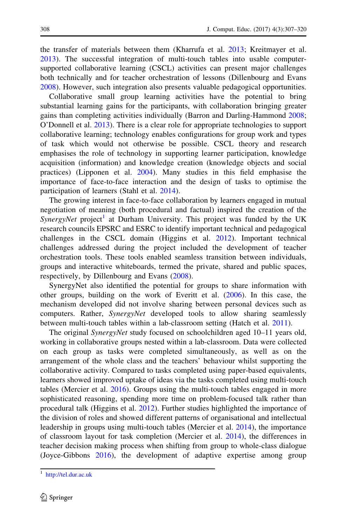the transfer of materials between them (Kharrufa et al. [2013](#page-12-0); Kreitmayer et al. [2013\)](#page-12-0). The successful integration of multi-touch tables into usable computersupported collaborative learning (CSCL) activities can present major challenges both technically and for teacher orchestration of lessons (Dillenbourg and Evans [2008\)](#page-12-0). However, such integration also presents valuable pedagogical opportunities.

Collaborative small group learning activities have the potential to bring substantial learning gains for the participants, with collaboration bringing greater gains than completing activities individually (Barron and Darling-Hammond [2008;](#page-12-0) O'Donnell et al. [2013](#page-13-0)). There is a clear role for appropriate technologies to support collaborative learning; technology enables configurations for group work and types of task which would not otherwise be possible. CSCL theory and research emphasises the role of technology in supporting learner participation, knowledge acquisition (information) and knowledge creation (knowledge objects and social practices) (Lipponen et al. [2004\)](#page-12-0). Many studies in this field emphasise the importance of face-to-face interaction and the design of tasks to optimise the participation of learners (Stahl et al. [2014\)](#page-13-0).

The growing interest in face-to-face collaboration by learners engaged in mutual negotiation of meaning (both procedural and factual) inspired the creation of the SynergyNet project<sup>1</sup> at Durham University. This project was funded by the UK research councils EPSRC and ESRC to identify important technical and pedagogical challenges in the CSCL domain (Higgins et al. [2012](#page-12-0)). Important technical challenges addressed during the project included the development of teacher orchestration tools. These tools enabled seamless transition between individuals, groups and interactive whiteboards, termed the private, shared and public spaces, respectively, by Dillenbourg and Evans [\(2008](#page-12-0)).

SynergyNet also identified the potential for groups to share information with other groups, building on the work of Everitt et al. ([2006](#page-12-0)). In this case, the mechanism developed did not involve sharing between personal devices such as computers. Rather, *SynergyNet* developed tools to allow sharing seamlessly between multi-touch tables within a lab-classroom setting (Hatch et al. [2011\)](#page-12-0).

The original SynergyNet study focused on schoolchildren aged 10–11 years old, working in collaborative groups nested within a lab-classroom. Data were collected on each group as tasks were completed simultaneously, as well as on the arrangement of the whole class and the teachers' behaviour whilst supporting the collaborative activity. Compared to tasks completed using paper-based equivalents, learners showed improved uptake of ideas via the tasks completed using multi-touch tables (Mercier et al. [2016](#page-13-0)). Groups using the multi-touch tables engaged in more sophisticated reasoning, spending more time on problem-focused talk rather than procedural talk (Higgins et al. [2012\)](#page-12-0). Further studies highlighted the importance of the division of roles and showed different patterns of organisational and intellectual leadership in groups using multi-touch tables (Mercier et al. [2014\)](#page-13-0), the importance of classroom layout for task completion (Mercier et al. [2014\)](#page-13-0), the differences in teacher decision making process when shifting from group to whole-class dialogue (Joyce-Gibbons [2016](#page-12-0)), the development of adaptive expertise among group

<sup>1</sup> <http://tel.dur.ac.uk>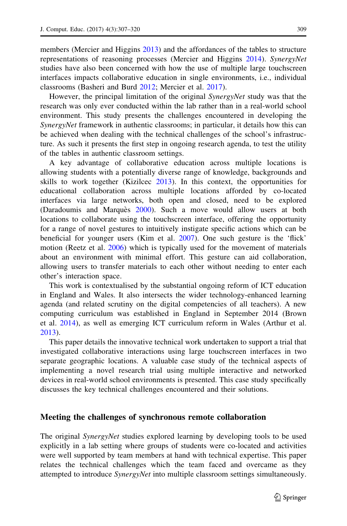members (Mercier and Higgins [2013\)](#page-12-0) and the affordances of the tables to structure representations of reasoning processes (Mercier and Higgins [2014\)](#page-12-0). SynergyNet studies have also been concerned with how the use of multiple large touchscreen interfaces impacts collaborative education in single environments, i.e., individual classrooms (Basheri and Burd [2012](#page-12-0); Mercier et al. [2017\)](#page-13-0).

However, the principal limitation of the original SynergyNet study was that the research was only ever conducted within the lab rather than in a real-world school environment. This study presents the challenges encountered in developing the SynergyNet framework in authentic classrooms; in particular, it details how this can be achieved when dealing with the technical challenges of the school's infrastructure. As such it presents the first step in ongoing research agenda, to test the utility of the tables in authentic classroom settings.

A key advantage of collaborative education across multiple locations is allowing students with a potentially diverse range of knowledge, backgrounds and skills to work together (Kizilcec [2013\)](#page-12-0). In this context, the opportunities for educational collaboration across multiple locations afforded by co-located interfaces via large networks, both open and closed, need to be explored (Daradoumis and Marquès [2000\)](#page-12-0). Such a move would allow users at both locations to collaborate using the touchscreen interface, offering the opportunity for a range of novel gestures to intuitively instigate specific actions which can be beneficial for younger users (Kim et al. [2007\)](#page-12-0). One such gesture is the 'flick' motion (Reetz et al. [2006\)](#page-13-0) which is typically used for the movement of materials about an environment with minimal effort. This gesture can aid collaboration, allowing users to transfer materials to each other without needing to enter each other's interaction space.

This work is contextualised by the substantial ongoing reform of ICT education in England and Wales. It also intersects the wider technology-enhanced learning agenda (and related scrutiny on the digital competencies of all teachers). A new computing curriculum was established in England in September 2014 (Brown et al. [2014\)](#page-12-0), as well as emerging ICT curriculum reform in Wales (Arthur et al. [2013\)](#page-12-0).

This paper details the innovative technical work undertaken to support a trial that investigated collaborative interactions using large touchscreen interfaces in two separate geographic locations. A valuable case study of the technical aspects of implementing a novel research trial using multiple interactive and networked devices in real-world school environments is presented. This case study specifically discusses the key technical challenges encountered and their solutions.

# Meeting the challenges of synchronous remote collaboration

The original *SynergyNet* studies explored learning by developing tools to be used explicitly in a lab setting where groups of students were co-located and activities were well supported by team members at hand with technical expertise. This paper relates the technical challenges which the team faced and overcame as they attempted to introduce SynergyNet into multiple classroom settings simultaneously.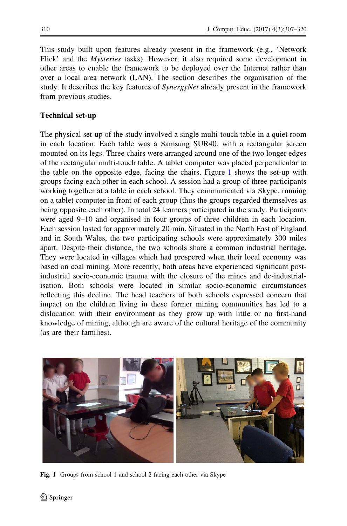This study built upon features already present in the framework (e.g., 'Network Flick' and the Mysteries tasks). However, it also required some development in other areas to enable the framework to be deployed over the Internet rather than over a local area network (LAN). The section describes the organisation of the study. It describes the key features of SynergyNet already present in the framework from previous studies.

# Technical set-up

The physical set-up of the study involved a single multi-touch table in a quiet room in each location. Each table was a Samsung SUR40, with a rectangular screen mounted on its legs. Three chairs were arranged around one of the two longer edges of the rectangular multi-touch table. A tablet computer was placed perpendicular to the table on the opposite edge, facing the chairs. Figure 1 shows the set-up with groups facing each other in each school. A session had a group of three participants working together at a table in each school. They communicated via Skype, running on a tablet computer in front of each group (thus the groups regarded themselves as being opposite each other). In total 24 learners participated in the study. Participants were aged 9–10 and organised in four groups of three children in each location. Each session lasted for approximately 20 min. Situated in the North East of England and in South Wales, the two participating schools were approximately 300 miles apart. Despite their distance, the two schools share a common industrial heritage. They were located in villages which had prospered when their local economy was based on coal mining. More recently, both areas have experienced significant postindustrial socio-economic trauma with the closure of the mines and de-industrialisation. Both schools were located in similar socio-economic circumstances reflecting this decline. The head teachers of both schools expressed concern that impact on the children living in these former mining communities has led to a dislocation with their environment as they grow up with little or no first-hand knowledge of mining, although are aware of the cultural heritage of the community (as are their families).



Fig. 1 Groups from school 1 and school 2 facing each other via Skype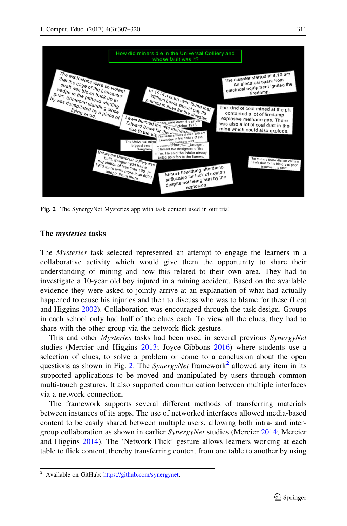<span id="page-4-0"></span>

Fig. 2 The SynergyNet Mysteries app with task content used in our trial

## The mysteries tasks

The Mysteries task selected represented an attempt to engage the learners in a collaborative activity which would give them the opportunity to share their understanding of mining and how this related to their own area. They had to investigate a 10-year old boy injured in a mining accident. Based on the available evidence they were asked to jointly arrive at an explanation of what had actually happened to cause his injuries and then to discuss who was to blame for these (Leat and Higgins [2002](#page-12-0)). Collaboration was encouraged through the task design. Groups in each school only had half of the clues each. To view all the clues, they had to share with the other group via the network flick gesture.

This and other *Mysteries* tasks had been used in several previous *SynergyNet* studies (Mercier and Higgins [2013;](#page-12-0) Joyce-Gibbons [2016](#page-12-0)) where students use a selection of clues, to solve a problem or come to a conclusion about the open questions as shown in Fig. 2. The SynergyNet framework<sup>2</sup> allowed any item in its supported applications to be moved and manipulated by users through common multi-touch gestures. It also supported communication between multiple interfaces via a network connection.

The framework supports several different methods of transferring materials between instances of its apps. The use of networked interfaces allowed media-based content to be easily shared between multiple users, allowing both intra- and intergroup collaboration as shown in earlier SynergyNet studies (Mercier [2014;](#page-12-0) Mercier and Higgins [2014\)](#page-12-0). The 'Network Flick' gesture allows learners working at each table to flick content, thereby transferring content from one table to another by using

<sup>&</sup>lt;sup>2</sup> Available on GitHub: <https://github.com/synergynet>.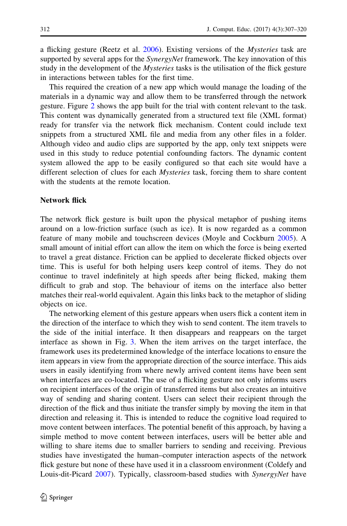a flicking gesture (Reetz et al. [2006](#page-13-0)). Existing versions of the Mysteries task are supported by several apps for the *SynergyNet* framework. The key innovation of this study in the development of the *Mysteries* tasks is the utilisation of the flick gesture in interactions between tables for the first time.

This required the creation of a new app which would manage the loading of the materials in a dynamic way and allow them to be transferred through the network gesture. Figure [2](#page-4-0) shows the app built for the trial with content relevant to the task. This content was dynamically generated from a structured text file (XML format) ready for transfer via the network flick mechanism. Content could include text snippets from a structured XML file and media from any other files in a folder. Although video and audio clips are supported by the app, only text snippets were used in this study to reduce potential confounding factors. The dynamic content system allowed the app to be easily configured so that each site would have a different selection of clues for each Mysteries task, forcing them to share content with the students at the remote location.

#### Network flick

The network flick gesture is built upon the physical metaphor of pushing items around on a low-friction surface (such as ice). It is now regarded as a common feature of many mobile and touchscreen devices (Moyle and Cockburn [2005\)](#page-13-0). A small amount of initial effort can allow the item on which the force is being exerted to travel a great distance. Friction can be applied to decelerate flicked objects over time. This is useful for both helping users keep control of items. They do not continue to travel indefinitely at high speeds after being flicked, making them difficult to grab and stop. The behaviour of items on the interface also better matches their real-world equivalent. Again this links back to the metaphor of sliding objects on ice.

The networking element of this gesture appears when users flick a content item in the direction of the interface to which they wish to send content. The item travels to the side of the initial interface. It then disappears and reappears on the target interface as shown in Fig. [3.](#page-6-0) When the item arrives on the target interface, the framework uses its predetermined knowledge of the interface locations to ensure the item appears in view from the appropriate direction of the source interface. This aids users in easily identifying from where newly arrived content items have been sent when interfaces are co-located. The use of a flicking gesture not only informs users on recipient interfaces of the origin of transferred items but also creates an intuitive way of sending and sharing content. Users can select their recipient through the direction of the flick and thus initiate the transfer simply by moving the item in that direction and releasing it. This is intended to reduce the cognitive load required to move content between interfaces. The potential benefit of this approach, by having a simple method to move content between interfaces, users will be better able and willing to share items due to smaller barriers to sending and receiving. Previous studies have investigated the human–computer interaction aspects of the network flick gesture but none of these have used it in a classroom environment (Coldefy and Louis-dit-Picard [2007\)](#page-12-0). Typically, classroom-based studies with *SynergyNet* have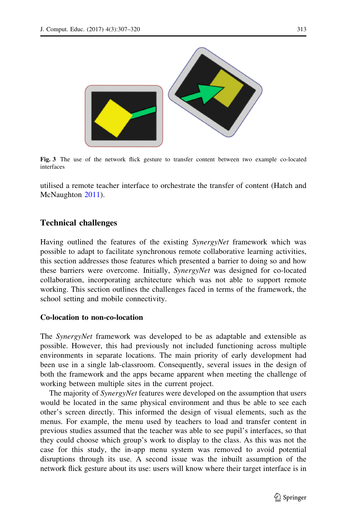<span id="page-6-0"></span>

Fig. 3 The use of the network flick gesture to transfer content between two example co-located interfaces

utilised a remote teacher interface to orchestrate the transfer of content (Hatch and McNaughton [2011](#page-12-0)).

# Technical challenges

Having outlined the features of the existing *SynergyNet* framework which was possible to adapt to facilitate synchronous remote collaborative learning activities, this section addresses those features which presented a barrier to doing so and how these barriers were overcome. Initially, SynergyNet was designed for co-located collaboration, incorporating architecture which was not able to support remote working. This section outlines the challenges faced in terms of the framework, the school setting and mobile connectivity.

## Co-location to non-co-location

The SynergyNet framework was developed to be as adaptable and extensible as possible. However, this had previously not included functioning across multiple environments in separate locations. The main priority of early development had been use in a single lab-classroom. Consequently, several issues in the design of both the framework and the apps became apparent when meeting the challenge of working between multiple sites in the current project.

The majority of *SynergyNet* features were developed on the assumption that users would be located in the same physical environment and thus be able to see each other's screen directly. This informed the design of visual elements, such as the menus. For example, the menu used by teachers to load and transfer content in previous studies assumed that the teacher was able to see pupil's interfaces, so that they could choose which group's work to display to the class. As this was not the case for this study, the in-app menu system was removed to avoid potential disruptions through its use. A second issue was the inbuilt assumption of the network flick gesture about its use: users will know where their target interface is in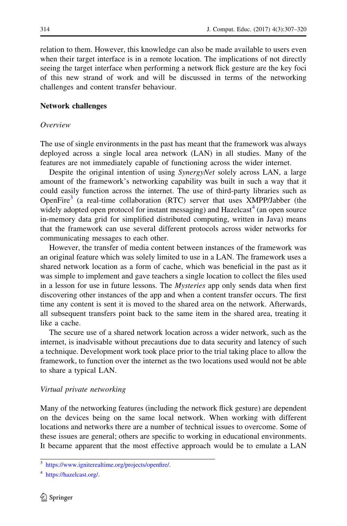relation to them. However, this knowledge can also be made available to users even when their target interface is in a remote location. The implications of not directly seeing the target interface when performing a network flick gesture are the key foci of this new strand of work and will be discussed in terms of the networking challenges and content transfer behaviour.

#### Network challenges

#### Overview

The use of single environments in the past has meant that the framework was always deployed across a single local area network (LAN) in all studies. Many of the features are not immediately capable of functioning across the wider internet.

Despite the original intention of using SynergyNet solely across LAN, a large amount of the framework's networking capability was built in such a way that it could easily function across the internet. The use of third-party libraries such as OpenFire<sup>3</sup> (a real-time collaboration (RTC) server that uses XMPP/Jabber (the widely adopted open protocol for instant messaging) and  $Hazelcast<sup>4</sup>$  (an open source in-memory data grid for simplified distributed computing, written in Java) means that the framework can use several different protocols across wider networks for communicating messages to each other.

However, the transfer of media content between instances of the framework was an original feature which was solely limited to use in a LAN. The framework uses a shared network location as a form of cache, which was beneficial in the past as it was simple to implement and gave teachers a single location to collect the files used in a lesson for use in future lessons. The *Mysteries* app only sends data when first discovering other instances of the app and when a content transfer occurs. The first time any content is sent it is moved to the shared area on the network. Afterwards, all subsequent transfers point back to the same item in the shared area, treating it like a cache.

The secure use of a shared network location across a wider network, such as the internet, is inadvisable without precautions due to data security and latency of such a technique. Development work took place prior to the trial taking place to allow the framework, to function over the internet as the two locations used would not be able to share a typical LAN.

#### Virtual private networking

Many of the networking features (including the network flick gesture) are dependent on the devices being on the same local network. When working with different locations and networks there are a number of technical issues to overcome. Some of these issues are general; others are specific to working in educational environments. It became apparent that the most effective approach would be to emulate a LAN

<sup>3</sup> <https://www.igniterealtime.org/projects/openfire/>.

<sup>4</sup> <https://hazelcast.org/>.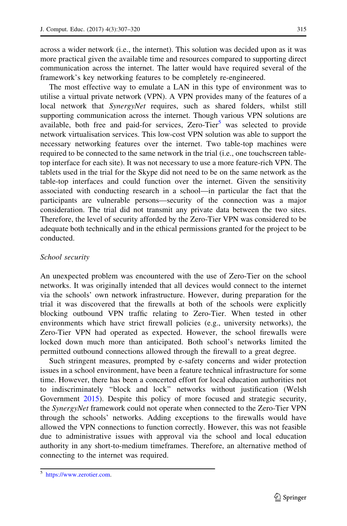across a wider network (i.e., the internet). This solution was decided upon as it was more practical given the available time and resources compared to supporting direct communication across the internet. The latter would have required several of the framework's key networking features to be completely re-engineered.

The most effective way to emulate a LAN in this type of environment was to utilise a virtual private network (VPN). A VPN provides many of the features of a local network that *SynergyNet* requires, such as shared folders, whilst still supporting communication across the internet. Though various VPN solutions are available, both free and paid-for services, Zero-Tier<sup>5</sup> was selected to provide network virtualisation services. This low-cost VPN solution was able to support the necessary networking features over the internet. Two table-top machines were required to be connected to the same network in the trial (i.e., one touchscreen tabletop interface for each site). It was not necessary to use a more feature-rich VPN. The tablets used in the trial for the Skype did not need to be on the same network as the table-top interfaces and could function over the internet. Given the sensitivity associated with conducting research in a school—in particular the fact that the participants are vulnerable persons—security of the connection was a major consideration. The trial did not transmit any private data between the two sites. Therefore, the level of security afforded by the Zero-Tier VPN was considered to be adequate both technically and in the ethical permissions granted for the project to be conducted.

# School security

An unexpected problem was encountered with the use of Zero-Tier on the school networks. It was originally intended that all devices would connect to the internet via the schools' own network infrastructure. However, during preparation for the trial it was discovered that the firewalls at both of the schools were explicitly blocking outbound VPN traffic relating to Zero-Tier. When tested in other environments which have strict firewall policies (e.g., university networks), the Zero-Tier VPN had operated as expected. However, the school firewalls were locked down much more than anticipated. Both school's networks limited the permitted outbound connections allowed through the firewall to a great degree.

Such stringent measures, prompted by e-safety concerns and wider protection issues in a school environment, have been a feature technical infrastructure for some time. However, there has been a concerted effort for local education authorities not to indiscriminately ''block and lock'' networks without justification (Welsh Government [2015\)](#page-13-0). Despite this policy of more focused and strategic security, the *SynergyNet* framework could not operate when connected to the Zero-Tier VPN through the schools' networks. Adding exceptions to the firewalls would have allowed the VPN connections to function correctly. However, this was not feasible due to administrative issues with approval via the school and local education authority in any short-to-medium timeframes. Therefore, an alternative method of connecting to the internet was required.

<sup>5</sup> <https://www.zerotier.com>.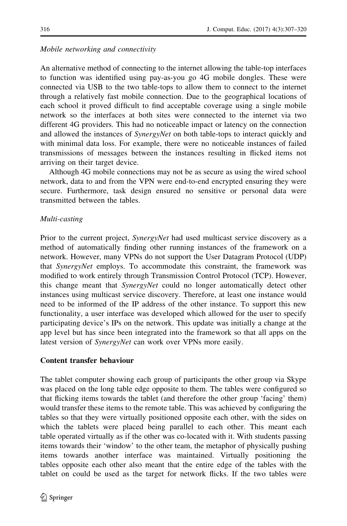#### Mobile networking and connectivity

An alternative method of connecting to the internet allowing the table-top interfaces to function was identified using pay-as-you go 4G mobile dongles. These were connected via USB to the two table-tops to allow them to connect to the internet through a relatively fast mobile connection. Due to the geographical locations of each school it proved difficult to find acceptable coverage using a single mobile network so the interfaces at both sites were connected to the internet via two different 4G providers. This had no noticeable impact or latency on the connection and allowed the instances of *SynergyNet* on both table-tops to interact quickly and with minimal data loss. For example, there were no noticeable instances of failed transmissions of messages between the instances resulting in flicked items not arriving on their target device.

Although 4G mobile connections may not be as secure as using the wired school network, data to and from the VPN were end-to-end encrypted ensuring they were secure. Furthermore, task design ensured no sensitive or personal data were transmitted between the tables.

#### Multi-casting

Prior to the current project, *SynergyNet* had used multicast service discovery as a method of automatically finding other running instances of the framework on a network. However, many VPNs do not support the User Datagram Protocol (UDP) that SynergyNet employs. To accommodate this constraint, the framework was modified to work entirely through Transmission Control Protocol (TCP). However, this change meant that *SynergyNet* could no longer automatically detect other instances using multicast service discovery. Therefore, at least one instance would need to be informed of the IP address of the other instance. To support this new functionality, a user interface was developed which allowed for the user to specify participating device's IPs on the network. This update was initially a change at the app level but has since been integrated into the framework so that all apps on the latest version of *SynergyNet* can work over VPNs more easily.

#### Content transfer behaviour

The tablet computer showing each group of participants the other group via Skype was placed on the long table edge opposite to them. The tables were configured so that flicking items towards the tablet (and therefore the other group 'facing' them) would transfer these items to the remote table. This was achieved by configuring the tables so that they were virtually positioned opposite each other, with the sides on which the tablets were placed being parallel to each other. This meant each table operated virtually as if the other was co-located with it. With students passing items towards their 'window' to the other team, the metaphor of physically pushing items towards another interface was maintained. Virtually positioning the tables opposite each other also meant that the entire edge of the tables with the tablet on could be used as the target for network flicks. If the two tables were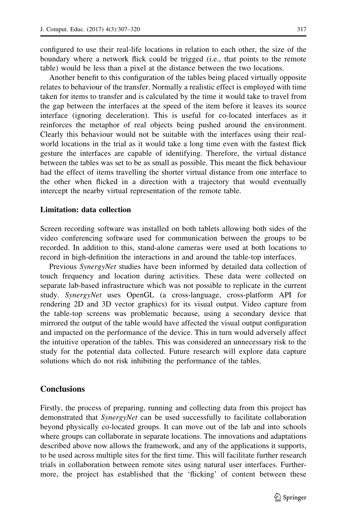configured to use their real-life locations in relation to each other, the size of the boundary where a network flick could be trigged (i.e., that points to the remote table) would be less than a pixel at the distance between the two locations.

Another benefit to this configuration of the tables being placed virtually opposite relates to behaviour of the transfer. Normally a realistic effect is employed with time taken for items to transfer and is calculated by the time it would take to travel from the gap between the interfaces at the speed of the item before it leaves its source interface (ignoring deceleration). This is useful for co-located interfaces as it reinforces the metaphor of real objects being pushed around the environment. Clearly this behaviour would not be suitable with the interfaces using their realworld locations in the trial as it would take a long time even with the fastest flick gesture the interfaces are capable of identifying. Therefore, the virtual distance between the tables was set to be as small as possible. This meant the flick behaviour had the effect of items travelling the shorter virtual distance from one interface to the other when flicked in a direction with a trajectory that would eventually intercept the nearby virtual representation of the remote table.

#### Limitation: data collection

Screen recording software was installed on both tablets allowing both sides of the video conferencing software used for communication between the groups to be recorded. In addition to this, stand-alone cameras were used at both locations to record in high-definition the interactions in and around the table-top interfaces.

Previous *SynergyNet* studies have been informed by detailed data collection of touch frequency and location during activities. These data were collected on separate lab-based infrastructure which was not possible to replicate in the current study. SynergyNet uses OpenGL (a cross-language, cross-platform API for rendering 2D and 3D vector graphics) for its visual output. Video capture from the table-top screens was problematic because, using a secondary device that mirrored the output of the table would have affected the visual output configuration and impacted on the performance of the device. This in turn would adversely affect the intuitive operation of the tables. This was considered an unnecessary risk to the study for the potential data collected. Future research will explore data capture solutions which do not risk inhibiting the performance of the tables.

# **Conclusions**

Firstly, the process of preparing, running and collecting data from this project has demonstrated that *SynergyNet* can be used successfully to facilitate collaboration beyond physically co-located groups. It can move out of the lab and into schools where groups can collaborate in separate locations. The innovations and adaptations described above now allows the framework, and any of the applications it supports, to be used across multiple sites for the first time. This will facilitate further research trials in collaboration between remote sites using natural user interfaces. Furthermore, the project has established that the 'flicking' of content between these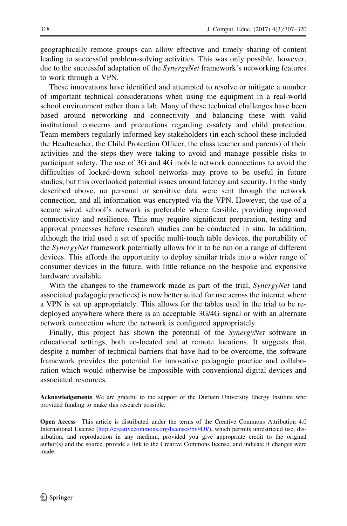geographically remote groups can allow effective and timely sharing of content leading to successful problem-solving activities. This was only possible, however, due to the successful adaptation of the *SynergyNet* framework's networking features to work through a VPN.

These innovations have identified and attempted to resolve or mitigate a number of important technical considerations when using the equipment in a real-world school environment rather than a lab. Many of these technical challenges have been based around networking and connectivity and balancing these with valid institutional concerns and precautions regarding e-safety and child protection. Team members regularly informed key stakeholders (in each school these included the Headteacher, the Child Protection Officer, the class teacher and parents) of their activities and the steps they were taking to avoid and manage possible risks to participant safety. The use of 3G and 4G mobile network connections to avoid the difficulties of locked-down school networks may prove to be useful in future studies, but this overlooked potential issues around latency and security. In the study described above, no personal or sensitive data were sent through the network connection, and all information was encrypted via the VPN. However, the use of a secure wired school's network is preferable where feasible, providing improved connectivity and resilience. This may require significant preparation, testing and approval processes before research studies can be conducted in situ. In addition, although the trial used a set of specific multi-touch table devices, the portability of the SynergyNet framework potentially allows for it to be run on a range of different devices. This affords the opportunity to deploy similar trials into a wider range of consumer devices in the future, with little reliance on the bespoke and expensive hardware available.

With the changes to the framework made as part of the trial, *SynergyNet* (and associated pedagogic practices) is now better suited for use across the internet where a VPN is set up appropriately. This allows for the tables used in the trial to be redeployed anywhere where there is an acceptable 3G/4G signal or with an alternate network connection where the network is configured appropriately.

Finally, this project has shown the potential of the SynergyNet software in educational settings, both co-located and at remote locations. It suggests that, despite a number of technical barriers that have had to be overcome, the software framework provides the potential for innovative pedagogic practice and collaboration which would otherwise be impossible with conventional digital devices and associated resources.

Acknowledgements We are grateful to the support of the Durham University Energy Institute who provided funding to make this research possible.

Open Access This article is distributed under the terms of the Creative Commons Attribution 4.0 International License ([http://creativecommons.org/licenses/by/4.0/\)](http://creativecommons.org/licenses/by/4.0/), which permits unrestricted use, distribution, and reproduction in any medium, provided you give appropriate credit to the original author(s) and the source, provide a link to the Creative Commons license, and indicate if changes were made.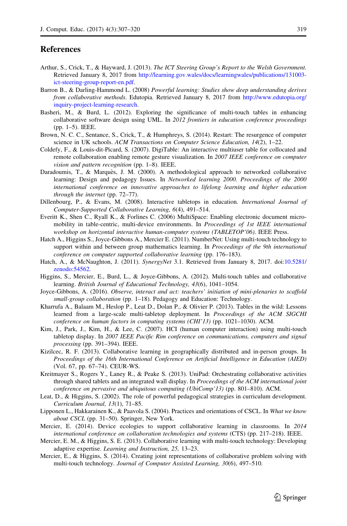# <span id="page-12-0"></span>**References**

- Arthur, S., Crick, T., & Hayward, J. (2013). The ICT Steering Group's Report to the Welsh Government. Retrieved January 8, 2017 from [http://learning.gov.wales/docs/learningwales/publications/131003](http://learning.gov.wales/docs/learningwales/publications/131003-ict-steering-group-report-en.pdf) [ict-steering-group-report-en.pdf.](http://learning.gov.wales/docs/learningwales/publications/131003-ict-steering-group-report-en.pdf)
- Barron B., & Darling-Hammond L. (2008) Powerful learning: Studies show deep understanding derives from collaborative methods. Edutopia. Retrieved January 8, 2017 from [http://www.edutopia.org/](http://www.edutopia.org/inquiry-project-learning-research) [inquiry-project-learning-research.](http://www.edutopia.org/inquiry-project-learning-research)
- Basheri, M., & Burd, L. (2012). Exploring the significance of multi-touch tables in enhancing collaborative software design using UML. In 2012 frontiers in education conference proceedings (pp. 1–5). IEEE.
- Brown, N. C. C., Sentance, S., Crick, T., & Humphreys, S. (2014). Restart: The resurgence of computer science in UK schools. ACM Transactions on Computer Science Education, 14(2), 1–22.
- Coldefy, F., & Louis-dit-Picard, S. (2007). DigiTable: An interactive multiuser table for collocated and remote collaboration enabling remote gesture visualization. In 2007 IEEE conference on computer vision and pattern recognition (pp. 1–8). IEEE.
- Daradoumis, T., & Marquès, J. M. (2000). A methodological approach to networked collaborative learning: Design and pedagogy Issues. In Networked learning 2000. Proceedings of the 2000 international conference on innovative approaches to lifelong learning and higher education through the internet (pp. 72–77).
- Dillenbourg, P., & Evans, M. (2008). Interactive tabletops in education. International Journal of Computer-Supported Collaborative Learning, 6(4), 491–514.
- Everitt K., Shen C., Ryall K., & Forlines C. (2006) MultiSpace: Enabling electronic document micromobility in table-centric, multi-device environments. In Proceedings of 1st IEEE international workshop on horizontal interactive human-computer systems (TABLETOP'06). IEEE Press.
- Hatch A., Higgins S., Joyce-Gibbons A., Mercier E. (2011). NumberNet: Using multi-touch technology to support within and between group mathematics learning. In *Proceedings of the 9th international* conference on computer supported collaborative learning (pp. 176–183).
- Hatch, A., & McNaughton, J. (2011). SynergyNet 3.1. Retrieved from January 8, 2017. doi[:10.5281/](http://dx.doi.org/10.5281/zenodo:54562) [zenodo:54562](http://dx.doi.org/10.5281/zenodo:54562).
- Higgins, S., Mercier, E., Burd, L., & Joyce-Gibbons, A. (2012). Multi-touch tables and collaborative learning. British Journal of Educational Technology, 43(6), 1041–1054.
- Joyce-Gibbons, A. (2016). Observe, interact and act: teachers' initiation of mini-plenaries to scaffold small-group collaboration (pp. 1–18). Pedagogy and Education: Technology.
- Kharrufa A., Balaam M., Heslop P., Leat D., Dolan P., & Olivier P. (2013). Tables in the wild: Lessons learned from a large-scale multi-tabletop deployment. In Proceedings of the ACM SIGCHI conference on human factors in computing systems (CHI'13) (pp. 1021–1030). ACM.
- Kim, J., Park, J., Kim, H., & Lee, C. (2007). HCI (human computer interaction) using multi-touch tabletop display. In 2007 IEEE Pacific Rim conference on communications, computers and signal processing (pp. 391–394). IEEE.
- Kizilcec, R. F. (2013). Collaborative learning in geographically distributed and in-person groups. In Proceedings of the 16th International Conference on Artificial Intelligence in Education (AIED) (Vol. 67, pp. 67–74). CEUR-WS.
- Kreitmayer S., Rogers Y., Laney R., & Peake S. (2013). UniPad: Orchestrating collaborative activities through shared tablets and an integrated wall display. In Proceedings of the ACM international joint conference on pervasive and ubiquitous computing (UbiComp'13) (pp. 801–810). ACM.
- Leat, D., & Higgins, S. (2002). The role of powerful pedagogical strategies in curriculum development. Curriculum Journal, 13(1), 71–85.
- Lipponen L., Hakkarainen K., & Paavola S. (2004). Practices and orientations of CSCL. In What we know about CSCL (pp. 31–50). Springer, New York.
- Mercier, E. (2014). Device ecologies to support collaborative learning in classrooms. In 2014 international conference on collaboration technologies and systems (CTS) (pp. 217–218). IEEE.
- Mercier, E. M., & Higgins, S. E. (2013). Collaborative learning with multi-touch technology: Developing adaptive expertise. Learning and Instruction, 25, 13–23.
- Mercier, E., & Higgins, S. (2014). Creating joint representations of collaborative problem solving with multi-touch technology. Journal of Computer Assisted Learning, 30(6), 497–510.